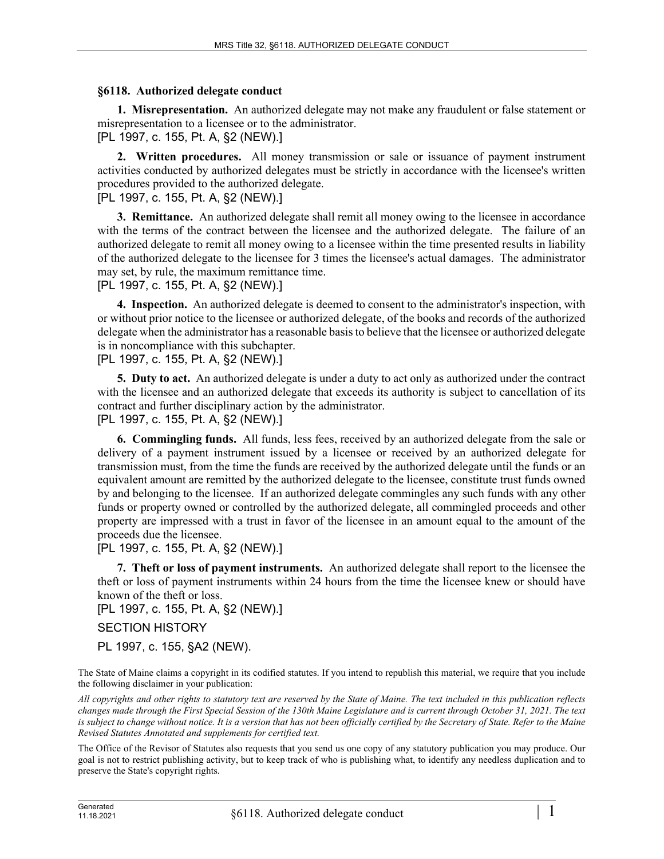## **§6118. Authorized delegate conduct**

**1. Misrepresentation.** An authorized delegate may not make any fraudulent or false statement or misrepresentation to a licensee or to the administrator.

## [PL 1997, c. 155, Pt. A, §2 (NEW).]

**2. Written procedures.** All money transmission or sale or issuance of payment instrument activities conducted by authorized delegates must be strictly in accordance with the licensee's written procedures provided to the authorized delegate.

[PL 1997, c. 155, Pt. A, §2 (NEW).]

**3. Remittance.** An authorized delegate shall remit all money owing to the licensee in accordance with the terms of the contract between the licensee and the authorized delegate. The failure of an authorized delegate to remit all money owing to a licensee within the time presented results in liability of the authorized delegate to the licensee for 3 times the licensee's actual damages. The administrator may set, by rule, the maximum remittance time.

## [PL 1997, c. 155, Pt. A, §2 (NEW).]

**4. Inspection.** An authorized delegate is deemed to consent to the administrator's inspection, with or without prior notice to the licensee or authorized delegate, of the books and records of the authorized delegate when the administrator has a reasonable basis to believe that the licensee or authorized delegate is in noncompliance with this subchapter.

[PL 1997, c. 155, Pt. A, §2 (NEW).]

**5. Duty to act.** An authorized delegate is under a duty to act only as authorized under the contract with the licensee and an authorized delegate that exceeds its authority is subject to cancellation of its contract and further disciplinary action by the administrator.

[PL 1997, c. 155, Pt. A, §2 (NEW).]

**6. Commingling funds.** All funds, less fees, received by an authorized delegate from the sale or delivery of a payment instrument issued by a licensee or received by an authorized delegate for transmission must, from the time the funds are received by the authorized delegate until the funds or an equivalent amount are remitted by the authorized delegate to the licensee, constitute trust funds owned by and belonging to the licensee. If an authorized delegate commingles any such funds with any other funds or property owned or controlled by the authorized delegate, all commingled proceeds and other property are impressed with a trust in favor of the licensee in an amount equal to the amount of the proceeds due the licensee.

[PL 1997, c. 155, Pt. A, §2 (NEW).]

**7. Theft or loss of payment instruments.** An authorized delegate shall report to the licensee the theft or loss of payment instruments within 24 hours from the time the licensee knew or should have known of the theft or loss.

[PL 1997, c. 155, Pt. A, §2 (NEW).]

## SECTION HISTORY

PL 1997, c. 155, §A2 (NEW).

The State of Maine claims a copyright in its codified statutes. If you intend to republish this material, we require that you include the following disclaimer in your publication:

*All copyrights and other rights to statutory text are reserved by the State of Maine. The text included in this publication reflects changes made through the First Special Session of the 130th Maine Legislature and is current through October 31, 2021. The text*  is subject to change without notice. It is a version that has not been officially certified by the Secretary of State. Refer to the Maine *Revised Statutes Annotated and supplements for certified text.*

The Office of the Revisor of Statutes also requests that you send us one copy of any statutory publication you may produce. Our goal is not to restrict publishing activity, but to keep track of who is publishing what, to identify any needless duplication and to preserve the State's copyright rights.